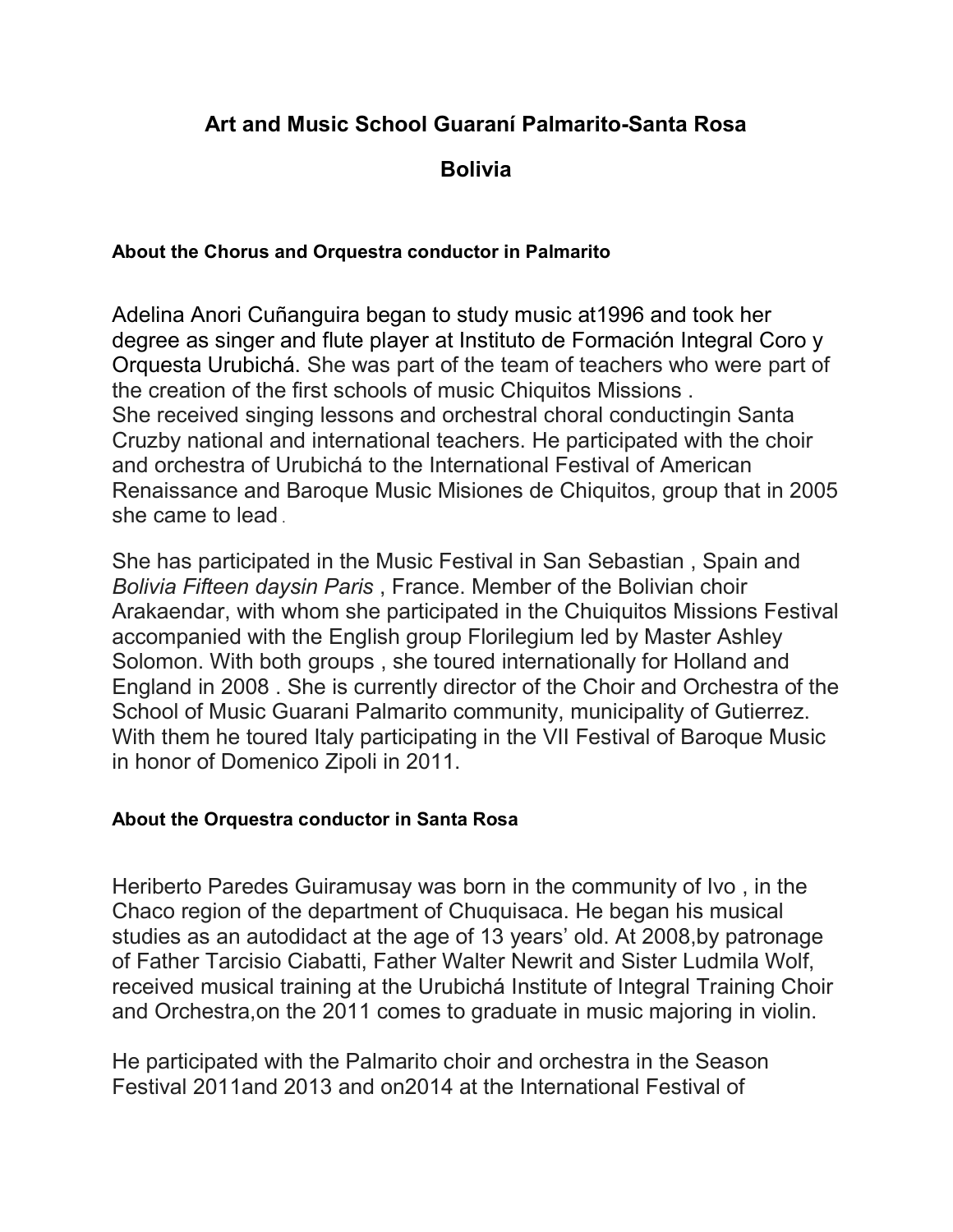## Art and Music School Guaraní Palmarito-Santa Rosa

Bolivia

#### About the Chorus and Orquestra conductor in Palmarito

Adelina Anori Cuñanguira began to study music at1996 and took her degree as singer and flute player at Instituto de Formación Integral Coro y Orquesta Urubichá. She was part of the team of teachers who were part of the creation of the first schools of music Chiquitos Missions . She received singing lessons and orchestral choral conductingin Santa Cruzby national and international teachers. He participated with the choir and orchestra of Urubichá to the International Festival of American Renaissance and Baroque Music Misiones de Chiquitos, group that in 2005 she came to lead .

She has participated in the Music Festival in San Sebastian , Spain and Bolivia Fifteen daysin Paris , France. Member of the Bolivian choir Arakaendar, with whom she participated in the Chuiquitos Missions Festival accompanied with the English group Florilegium led by Master Ashley Solomon. With both groups , she toured internationally for Holland and England in 2008 . She is currently director of the Choir and Orchestra of the School of Music Guarani Palmarito community, municipality of Gutierrez. With them he toured Italy participating in the VII Festival of Baroque Music in honor of Domenico Zipoli in 2011.

#### About the Orquestra conductor in Santa Rosa

Heriberto Paredes Guiramusay was born in the community of Ivo , in the Chaco region of the department of Chuquisaca. He began his musical studies as an autodidact at the age of 13 years' old. At 2008,by patronage of Father Tarcisio Ciabatti, Father Walter Newrit and Sister Ludmila Wolf, received musical training at the Urubichá Institute of Integral Training Choir and Orchestra,on the 2011 comes to graduate in music majoring in violin.

He participated with the Palmarito choir and orchestra in the Season Festival 2011and 2013 and on2014 at the International Festival of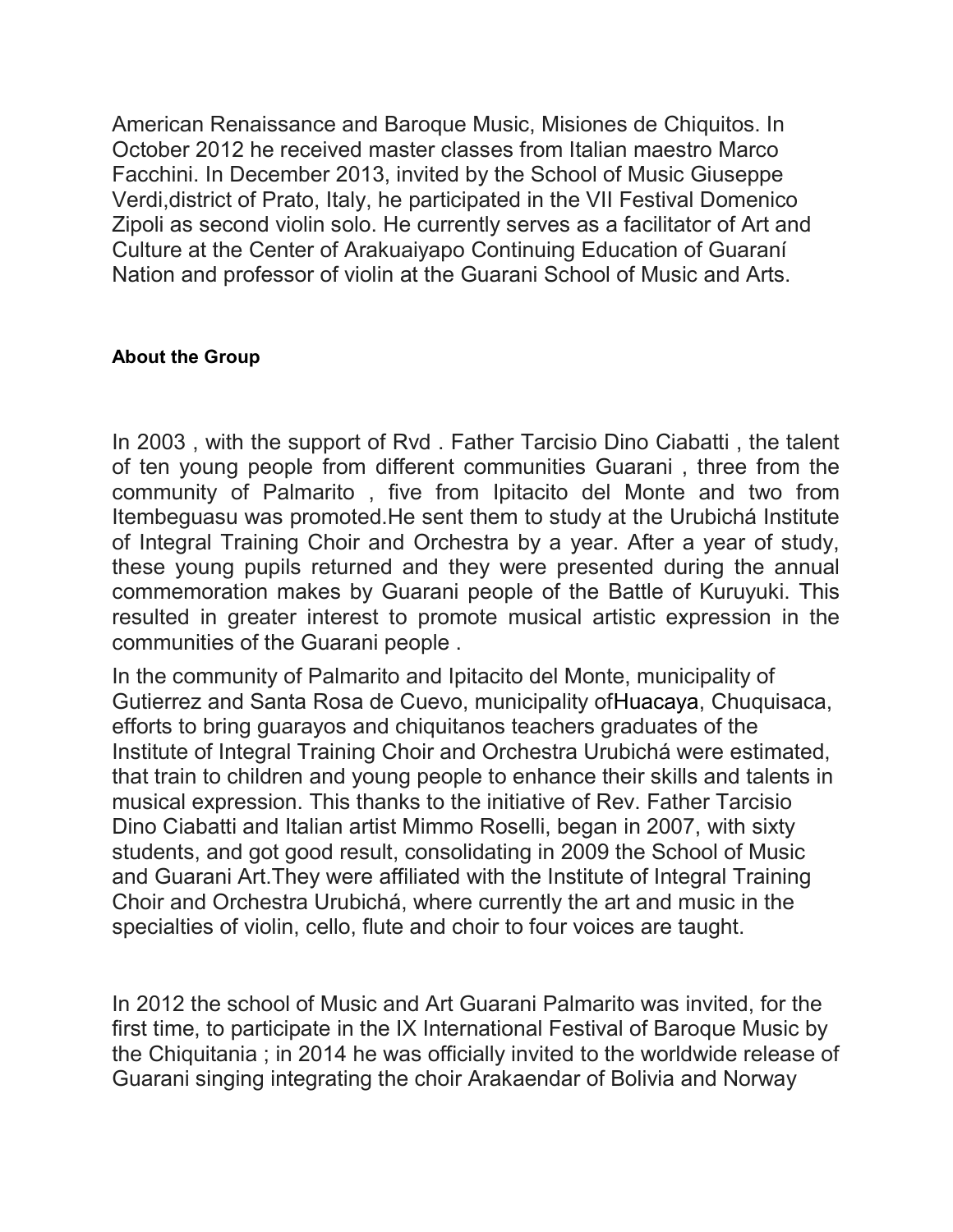American Renaissance and Baroque Music, Misiones de Chiquitos. In October 2012 he received master classes from Italian maestro Marco Facchini. In December 2013, invited by the School of Music Giuseppe Verdi,district of Prato, Italy, he participated in the VII Festival Domenico Zipoli as second violin solo. He currently serves as a facilitator of Art and Culture at the Center of Arakuaiyapo Continuing Education of Guaraní Nation and professor of violin at the Guarani School of Music and Arts.

#### About the Group

In 2003 , with the support of Rvd . Father Tarcisio Dino Ciabatti , the talent of ten young people from different communities Guarani , three from the community of Palmarito , five from Ipitacito del Monte and two from Itembeguasu was promoted.He sent them to study at the Urubichá Institute of Integral Training Choir and Orchestra by a year. After a year of study, these young pupils returned and they were presented during the annual commemoration makes by Guarani people of the Battle of Kuruyuki. This resulted in greater interest to promote musical artistic expression in the communities of the Guarani people .

In the community of Palmarito and Ipitacito del Monte, municipality of Gutierrez and Santa Rosa de Cuevo, municipality ofHuacaya, Chuquisaca, efforts to bring guarayos and chiquitanos teachers graduates of the Institute of Integral Training Choir and Orchestra Urubichá were estimated, that train to children and young people to enhance their skills and talents in musical expression. This thanks to the initiative of Rev. Father Tarcisio Dino Ciabatti and Italian artist Mimmo Roselli, began in 2007, with sixty students, and got good result, consolidating in 2009 the School of Music and Guarani Art.They were affiliated with the Institute of Integral Training Choir and Orchestra Urubichá, where currently the art and music in the specialties of violin, cello, flute and choir to four voices are taught.

In 2012 the school of Music and Art Guarani Palmarito was invited, for the first time, to participate in the IX International Festival of Baroque Music by the Chiquitania ; in 2014 he was officially invited to the worldwide release of Guarani singing integrating the choir Arakaendar of Bolivia and Norway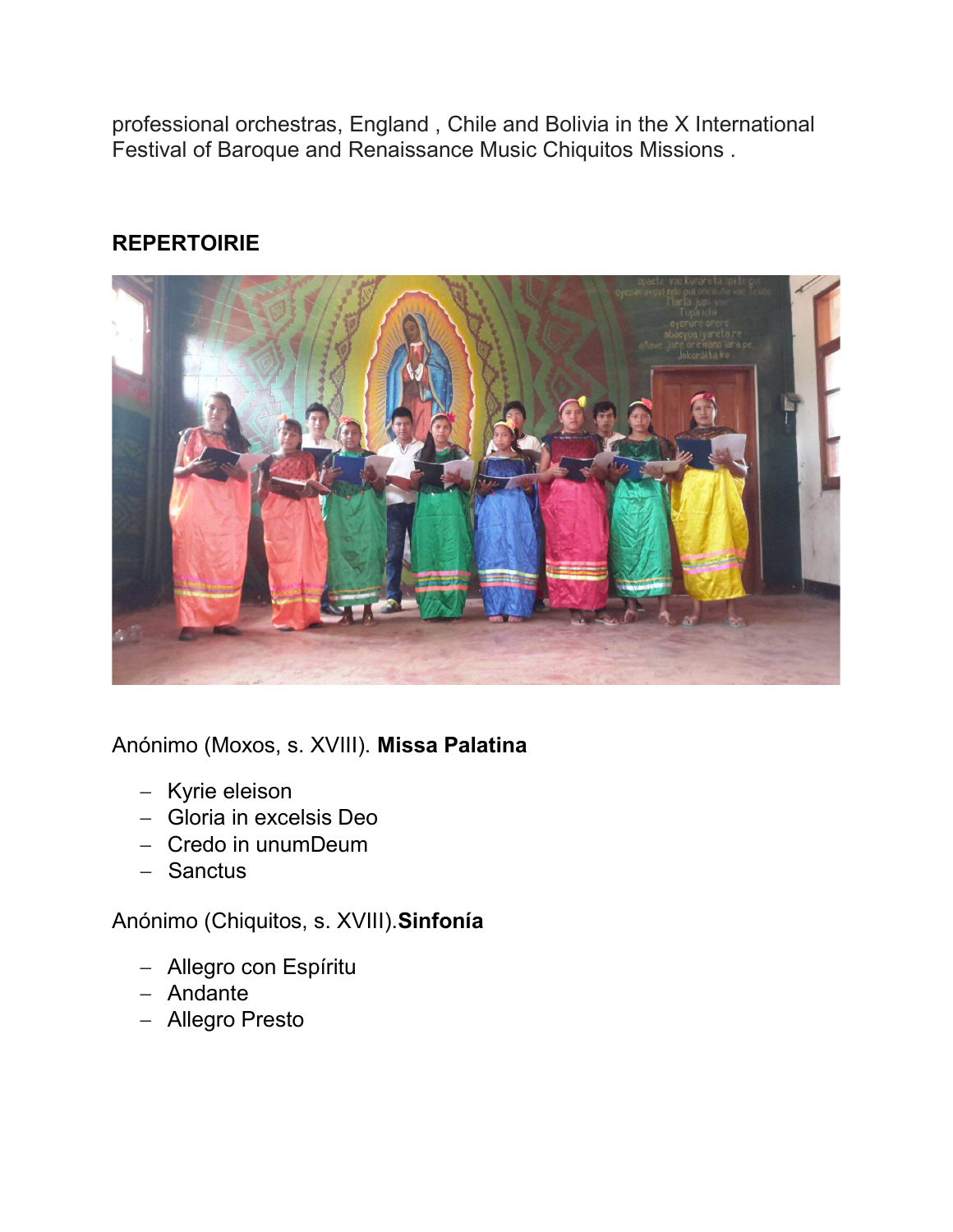professional orchestras, England , Chile and Bolivia in the X International Festival of Baroque and Renaissance Music Chiquitos Missions .

# **REPERTOIRIE**



Anónimo (Moxos, s. XVIII). Missa Palatina

- Kyrie eleison
- Gloria in excelsis Deo
- Credo in unumDeum
- Sanctus

## Anónimo (Chiquitos, s. XVIII).Sinfonía

- Allegro con Espíritu
- Andante
- Allegro Presto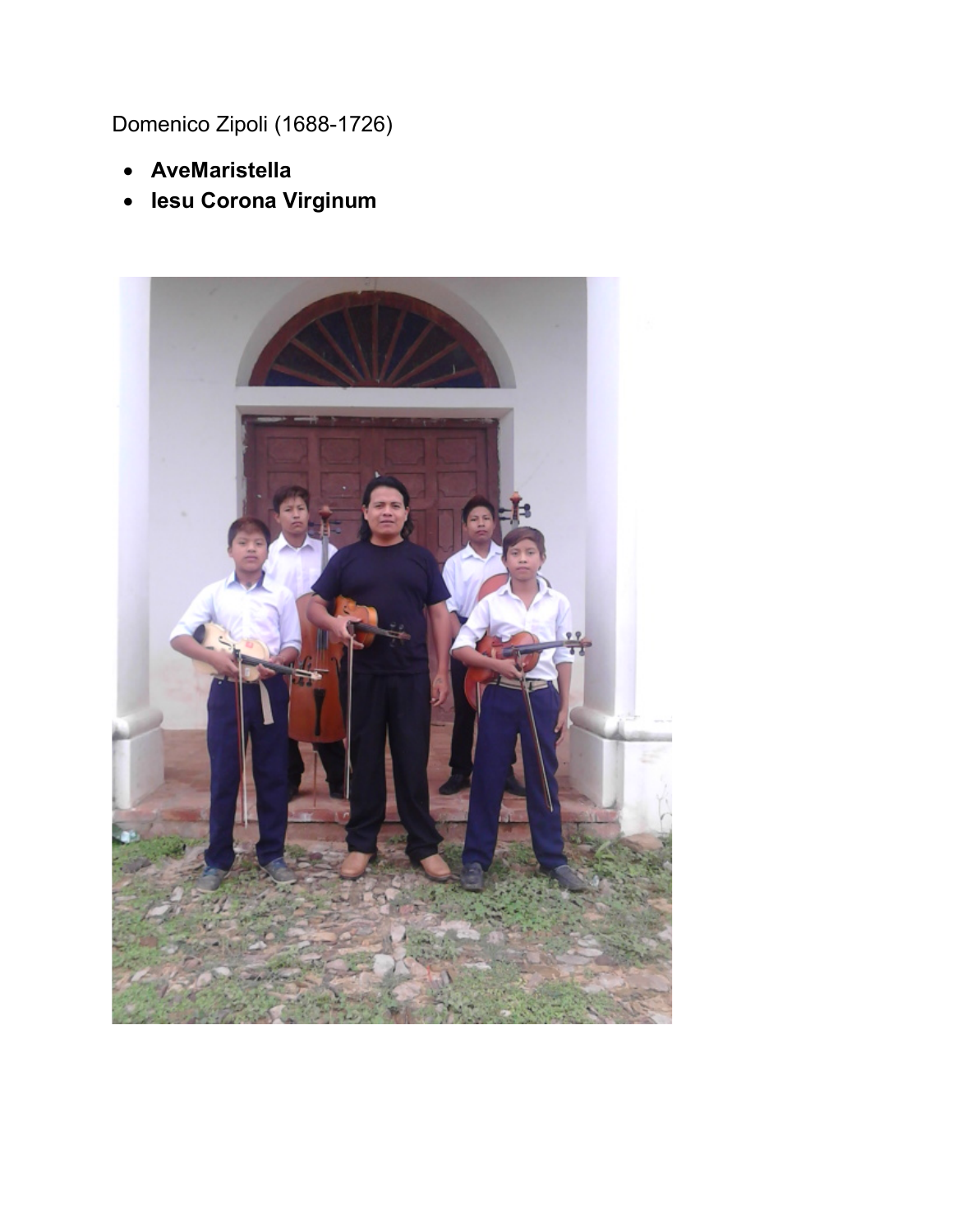Domenico Zipoli (1688-1726)

- AveMaristella
- Iesu Corona Virginum

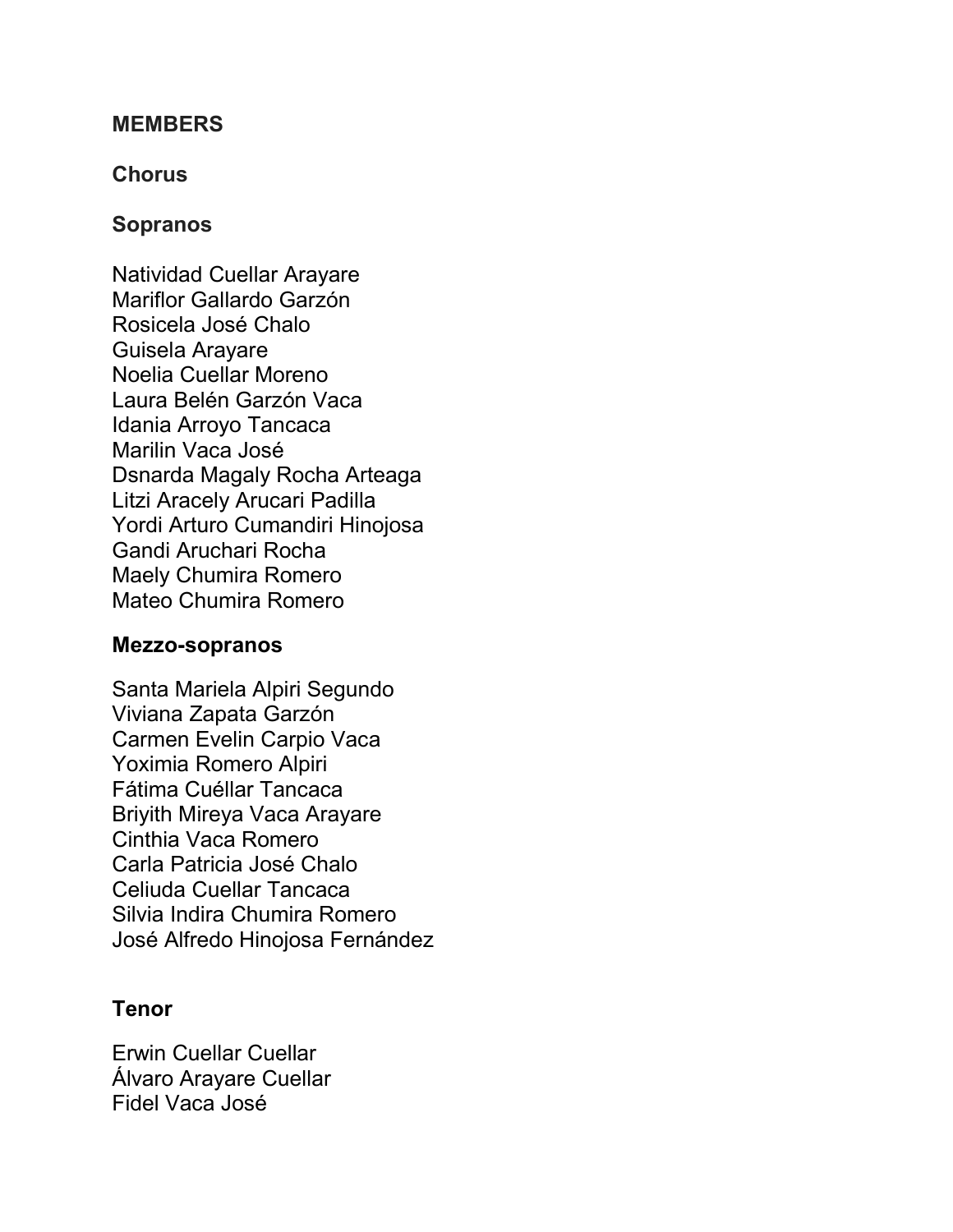#### **MEMBERS**

### **Chorus**

### Sopranos

Natividad Cuellar Arayare Mariflor Gallardo Garzón Rosicela José Chalo Guisela Arayare Noelia Cuellar Moreno Laura Belén Garzón Vaca Idania Arroyo Tancaca Marilin Vaca José Dsnarda Magaly Rocha Arteaga Litzi Aracely Arucari Padilla Yordi Arturo Cumandiri Hinojosa Gandi Aruchari Rocha Maely Chumira Romero Mateo Chumira Romero

#### Mezzo-sopranos

Santa Mariela Alpiri Segundo Viviana Zapata Garzón Carmen Evelin Carpio Vaca Yoximia Romero Alpiri Fátima Cuéllar Tancaca Briyith Mireya Vaca Arayare Cinthia Vaca Romero Carla Patricia José Chalo Celiuda Cuellar Tancaca Silvia Indira Chumira Romero José Alfredo Hinojosa Fernández

#### Tenor

Erwin Cuellar Cuellar Álvaro Arayare Cuellar Fidel Vaca José